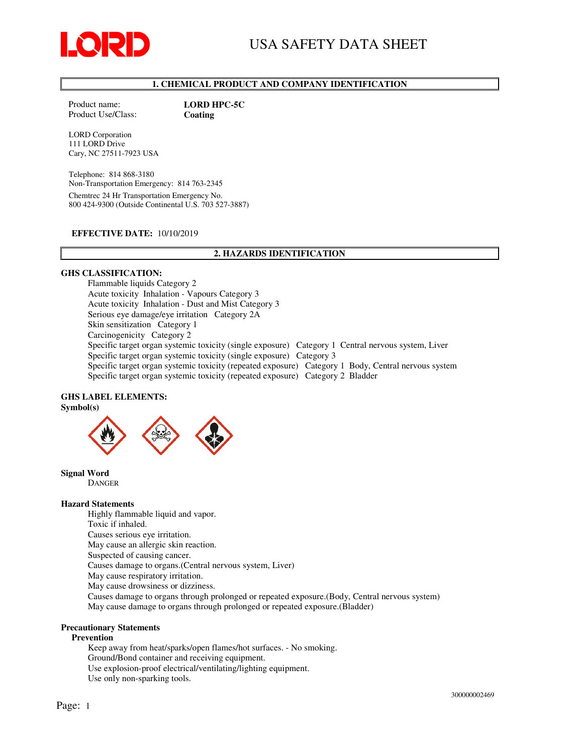

# 1. CHEMICAL PRODUCT AND COMPANY IDENTIFICATION

Product name: LORD HPC-5C Product Use/Class: Coating

LORD Corporation 111 LORD Drive Cary, NC 27511-7923 USA

Telephone: 814 868-3180 Non-Transportation Emergency: 814 763-2345 Chemtrec 24 Hr Transportation Emergency No. 800 424-9300 (Outside Continental U.S. 703 527-3887)

#### EFFECTIVE DATE: 10/10/2019

### 2. HAZARDS IDENTIFICATION

### GHS CLASSIFICATION:

Flammable liquids Category 2 Acute toxicity Inhalation - Vapours Category 3 Acute toxicity Inhalation - Dust and Mist Category 3 Serious eye damage/eye irritation Category 2A Skin sensitization Category 1 Carcinogenicity Category 2 Specific target organ systemic toxicity (single exposure) Category 1 Central nervous system, Liver Specific target organ systemic toxicity (single exposure) Category 3 Specific target organ systemic toxicity (repeated exposure) Category 1 Body, Central nervous system Specific target organ systemic toxicity (repeated exposure) Category 2 Bladder

### GHS LABEL ELEMENTS:



Signal Word DANGER

#### Hazard Statements

Highly flammable liquid and vapor. Toxic if inhaled. Causes serious eye irritation. May cause an allergic skin reaction. Suspected of causing cancer. Causes damage to organs.(Central nervous system, Liver) May cause respiratory irritation. May cause drowsiness or dizziness. Causes damage to organs through prolonged or repeated exposure.(Body, Central nervous system) May cause damage to organs through prolonged or repeated exposure.(Bladder)

### Precautionary Statements

#### Prevention

Keep away from heat/sparks/open flames/hot surfaces. - No smoking. Ground/Bond container and receiving equipment. Use explosion-proof electrical/ventilating/lighting equipment. Use only non-sparking tools.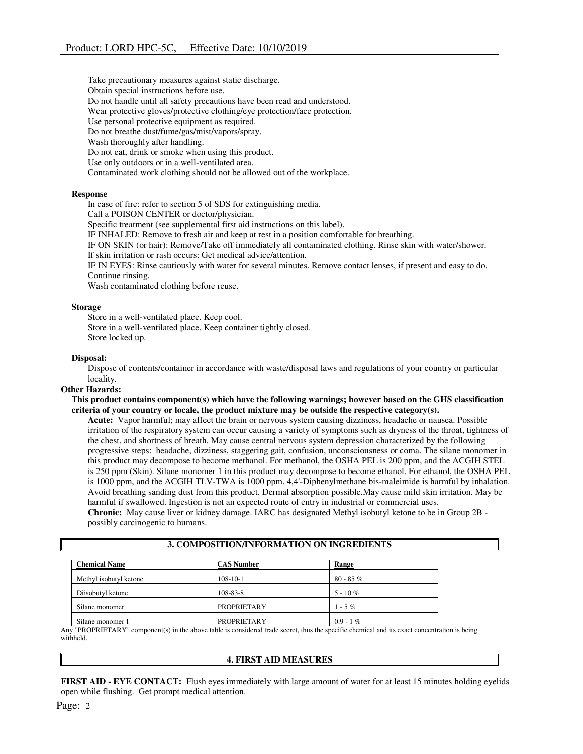Take precautionary measures against static discharge. Obtain special instructions before use. Do not handle until all safety precautions have been read and understood. Wear protective gloves/protective clothing/eye protection/face protection. Use personal protective equipment as required. Do not breathe dust/fume/gas/mist/vapors/spray. Wash thoroughly after handling. Do not eat, drink or smoke when using this product. Use only outdoors or in a well-ventilated area.

Contaminated work clothing should not be allowed out of the workplace.

#### Response

In case of fire: refer to section 5 of SDS for extinguishing media.

Call a POISON CENTER or doctor/physician.

Specific treatment (see supplemental first aid instructions on this label).

IF INHALED: Remove to fresh air and keep at rest in a position comfortable for breathing.

IF ON SKIN (or hair): Remove/Take off immediately all contaminated clothing. Rinse skin with water/shower. If skin irritation or rash occurs: Get medical advice/attention.

IF IN EYES: Rinse cautiously with water for several minutes. Remove contact lenses, if present and easy to do. Continue rinsing.

Wash contaminated clothing before reuse.

#### Storage

Store in a well-ventilated place. Keep cool. Store in a well-ventilated place. Keep container tightly closed. Store locked up.

#### Disposal:

Dispose of contents/container in accordance with waste/disposal laws and regulations of your country or particular locality.

#### Other Hazards:

This product contains component(s) which have the following warnings; however based on the GHS classification criteria of your country or locale, the product mixture may be outside the respective category(s).

Acute: Vapor harmful; may affect the brain or nervous system causing dizziness, headache or nausea. Possible irritation of the respiratory system can occur causing a variety of symptoms such as dryness of the throat, tightness of the chest, and shortness of breath. May cause central nervous system depression characterized by the following progressive steps: headache, dizziness, staggering gait, confusion, unconsciousness or coma. The silane monomer in this product may decompose to become methanol. For methanol, the OSHA PEL is 200 ppm, and the ACGIH STEL is 250 ppm (Skin). Silane monomer 1 in this product may decompose to become ethanol. For ethanol, the OSHA PEL is 1000 ppm, and the ACGIH TLV-TWA is 1000 ppm. 4,4'-Diphenylmethane bis-maleimide is harmful by inhalation. Avoid breathing sanding dust from this product. Dermal absorption possible.May cause mild skin irritation. May be harmful if swallowed. Ingestion is not an expected route of entry in industrial or commercial uses. Chronic: May cause liver or kidney damage. IARC has designated Methyl isobutyl ketone to be in Group 2B -

possibly carcinogenic to humans.

3. COMPOSITION/INFORMATION ON INGREDIENTS

| <b>Chemical Name</b>   | <b>CAS Number</b>  | <b>Range</b> |  |
|------------------------|--------------------|--------------|--|
| Methyl isobutyl ketone | $108 - 10 - 1$     | $80 - 85%$   |  |
| Diisobutyl ketone      | 108-83-8           | $5 - 10\%$   |  |
| Silane monomer         | <b>PROPRIETARY</b> | $1 - 5\%$    |  |
| Silane monomer 1       | <b>PROPRIETARY</b> | $0.9 - 1\%$  |  |

Any "PROPRIETARY" component(s) in the above table is considered trade secret, thus the specific chemical and its exact concentration is being withheld.

#### 4. FIRST AID MEASURES

FIRST AID - EYE CONTACT: Flush eyes immediately with large amount of water for at least 15 minutes holding eyelids open while flushing. Get prompt medical attention.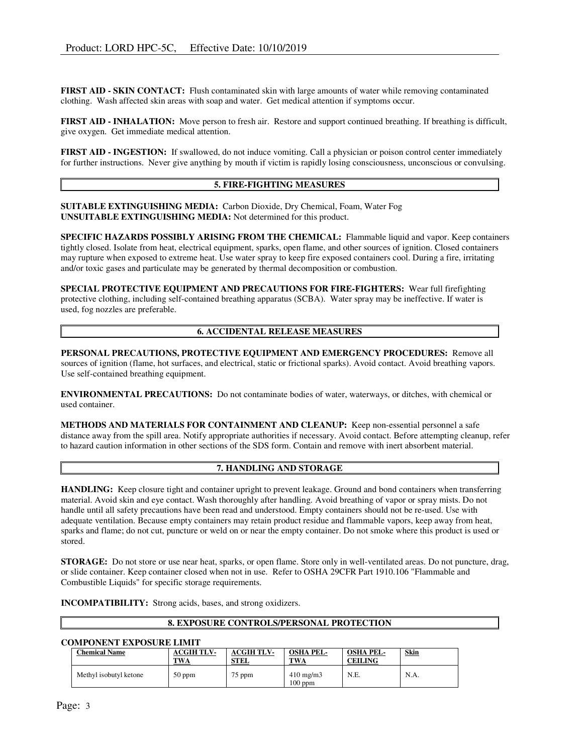FIRST AID - SKIN CONTACT: Flush contaminated skin with large amounts of water while removing contaminated clothing. Wash affected skin areas with soap and water. Get medical attention if symptoms occur.

FIRST AID - INHALATION: Move person to fresh air. Restore and support continued breathing. If breathing is difficult, give oxygen. Get immediate medical attention.

FIRST AID - INGESTION: If swallowed, do not induce vomiting. Call a physician or poison control center immediately for further instructions. Never give anything by mouth if victim is rapidly losing consciousness, unconscious or convulsing.

### 5. FIRE-FIGHTING MEASURES

SUITABLE EXTINGUISHING MEDIA: Carbon Dioxide, Dry Chemical, Foam, Water Fog UNSUITABLE EXTINGUISHING MEDIA: Not determined for this product.

SPECIFIC HAZARDS POSSIBLY ARISING FROM THE CHEMICAL: Flammable liquid and vapor. Keep containers tightly closed. Isolate from heat, electrical equipment, sparks, open flame, and other sources of ignition. Closed containers may rupture when exposed to extreme heat. Use water spray to keep fire exposed containers cool. During a fire, irritating and/or toxic gases and particulate may be generated by thermal decomposition or combustion.

SPECIAL PROTECTIVE EQUIPMENT AND PRECAUTIONS FOR FIRE-FIGHTERS: Wear full firefighting protective clothing, including self-contained breathing apparatus (SCBA). Water spray may be ineffective. If water is used, fog nozzles are preferable.

#### 6. ACCIDENTAL RELEASE MEASURES

PERSONAL PRECAUTIONS, PROTECTIVE EQUIPMENT AND EMERGENCY PROCEDURES: Remove all sources of ignition (flame, hot surfaces, and electrical, static or frictional sparks). Avoid contact. Avoid breathing vapors. Use self-contained breathing equipment.

ENVIRONMENTAL PRECAUTIONS: Do not contaminate bodies of water, waterways, or ditches, with chemical or used container.

METHODS AND MATERIALS FOR CONTAINMENT AND CLEANUP: Keep non-essential personnel a safe distance away from the spill area. Notify appropriate authorities if necessary. Avoid contact. Before attempting cleanup, refer to hazard caution information in other sections of the SDS form. Contain and remove with inert absorbent material.

# 7. HANDLING AND STORAGE

HANDLING: Keep closure tight and container upright to prevent leakage. Ground and bond containers when transferring material. Avoid skin and eye contact. Wash thoroughly after handling. Avoid breathing of vapor or spray mists. Do not handle until all safety precautions have been read and understood. Empty containers should not be re-used. Use with adequate ventilation. Because empty containers may retain product residue and flammable vapors, keep away from heat, sparks and flame; do not cut, puncture or weld on or near the empty container. Do not smoke where this product is used or stored.

STORAGE: Do not store or use near heat, sparks, or open flame. Store only in well-ventilated areas. Do not puncture, drag, or slide container. Keep container closed when not in use. Refer to OSHA 29CFR Part 1910.106 "Flammable and Combustible Liquids" for specific storage requirements.

INCOMPATIBILITY: Strong acids, bases, and strong oxidizers.

#### 8. EXPOSURE CONTROLS/PERSONAL PROTECTION

### COMPONENT EXPOSURE LIMIT

| <b>Chemical Name</b>   | <b>ACGIH TLV-</b><br><b>TWA</b> | <b>ACGIH TLV-</b><br>STEL | <b>OSHA PEL-</b><br><b>TWA</b>  | <b>OSHA PEL-</b><br>CEILING | <b>Skin</b> |
|------------------------|---------------------------------|---------------------------|---------------------------------|-----------------------------|-------------|
| Methyl isobutyl ketone | $50$ ppm                        | $75$ ppm                  | $410 \text{ mg/m}$<br>$100$ ppm | N.E.                        | N.A.        |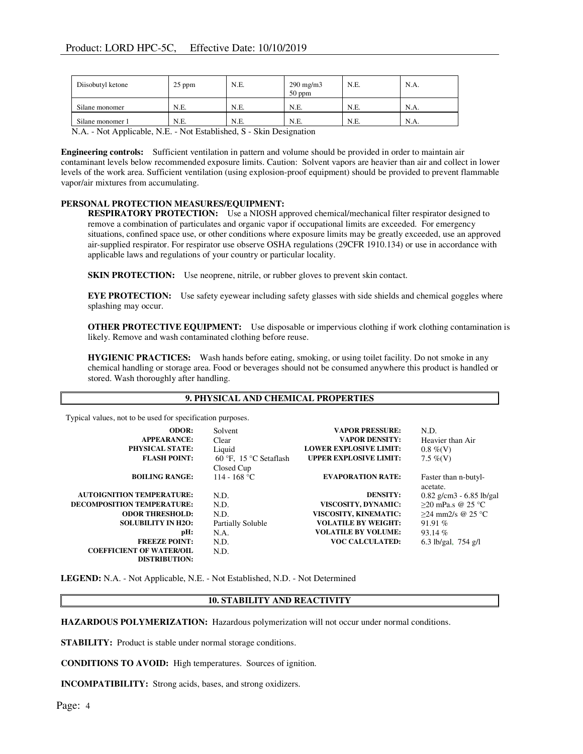| Diisobutyl ketone                                                                                                                                                                                                                                                                                          | $25$ ppm | N.E. | $290 \text{ mg/m}$<br>$50$ ppm | N.E. | N.A. |
|------------------------------------------------------------------------------------------------------------------------------------------------------------------------------------------------------------------------------------------------------------------------------------------------------------|----------|------|--------------------------------|------|------|
| Silane monomer                                                                                                                                                                                                                                                                                             | N.E.     | N.E. | N.E.                           | N.E. | N.A. |
| Silane monomer 1                                                                                                                                                                                                                                                                                           | N.E.     | N.E. | N.E.                           | N.E. | N.A. |
| $\mathbf{M}$ as $\mathbf{M}$ as $\mathbf{M}$ as $\mathbf{M}$ as $\mathbf{M}$ as $\mathbf{M}$ as $\mathbf{M}$ as $\mathbf{M}$ as $\mathbf{M}$ as $\mathbf{M}$ as $\mathbf{M}$ as $\mathbf{M}$ as $\mathbf{M}$ as $\mathbf{M}$ as $\mathbf{M}$ as $\mathbf{M}$ as $\mathbf{M}$ as $\mathbf{M}$ as $\mathbf{$ |          |      |                                |      |      |

N.A. - Not Applicable, N.E. - Not Established, S - Skin Designation

Engineering controls: Sufficient ventilation in pattern and volume should be provided in order to maintain air contaminant levels below recommended exposure limits. Caution: Solvent vapors are heavier than air and collect in lower levels of the work area. Sufficient ventilation (using explosion-proof equipment) should be provided to prevent flammable vapor/air mixtures from accumulating.

### PERSONAL PROTECTION MEASURES/EQUIPMENT:

RESPIRATORY PROTECTION: Use a NIOSH approved chemical/mechanical filter respirator designed to remove a combination of particulates and organic vapor if occupational limits are exceeded. For emergency situations, confined space use, or other conditions where exposure limits may be greatly exceeded, use an approved air-supplied respirator. For respirator use observe OSHA regulations (29CFR 1910.134) or use in accordance with applicable laws and regulations of your country or particular locality.

SKIN PROTECTION: Use neoprene, nitrile, or rubber gloves to prevent skin contact.

EYE PROTECTION: Use safety eyewear including safety glasses with side shields and chemical goggles where splashing may occur.

OTHER PROTECTIVE EQUIPMENT: Use disposable or impervious clothing if work clothing contamination is likely. Remove and wash contaminated clothing before reuse.

HYGIENIC PRACTICES: Wash hands before eating, smoking, or using toilet facility. Do not smoke in any chemical handling or storage area. Food or beverages should not be consumed anywhere this product is handled or stored. Wash thoroughly after handling.

## 9. PHYSICAL AND CHEMICAL PROPERTIES

Typical values, not to be used for specification purposes.

| ╯                                 |                        |                               |                            |
|-----------------------------------|------------------------|-------------------------------|----------------------------|
| <b>ODOR:</b>                      | Solvent                | <b>VAPOR PRESSURE:</b>        | N.D.                       |
| <b>APPEARANCE:</b>                | Clear                  | <b>VAPOR DENSITY:</b>         | Heavier than Air           |
| <b>PHYSICAL STATE:</b>            | Liquid                 | <b>LOWER EXPLOSIVE LIMIT:</b> | $0.8\%$ (V)                |
| <b>FLASH POINT:</b>               | 60 °F, 15 °C Setaflash | <b>UPPER EXPLOSIVE LIMIT:</b> | 7.5 %(V)                   |
|                                   | Closed Cup             |                               |                            |
| <b>BOILING RANGE:</b>             | 114 - 168 °C           | <b>EVAPORATION RATE:</b>      | Faster than n-butyl-       |
|                                   |                        |                               | acetate.                   |
| <b>AUTOIGNITION TEMPERATURE:</b>  | N.D.                   | <b>DENSITY:</b>               | $0.82$ g/cm3 - 6.85 lb/gal |
| <b>DECOMPOSITION TEMPERATURE:</b> | N.D.                   | VISCOSITY, DYNAMIC:           | $>20$ mPa.s @ 25 °C        |
| <b>ODOR THRESHOLD:</b>            | N.D.                   | VISCOSITY, KINEMATIC:         | $>24$ mm2/s @ 25 °C        |
| <b>SOLUBILITY IN H2O:</b>         | Partially Soluble      | <b>VOLATILE BY WEIGHT:</b>    | 91.91 $%$                  |
| pH:                               | N.A.                   | <b>VOLATILE BY VOLUME:</b>    | 93.14 %                    |
| <b>FREEZE POINT:</b>              | N.D.                   | <b>VOC CALCULATED:</b>        | 6.3 lb/gal, $754$ g/l      |
| <b>COEFFICIENT OF WATER/OIL</b>   | N.D.                   |                               |                            |
| <b>DISTRIBUTION:</b>              |                        |                               |                            |

LEGEND: N.A. - Not Applicable, N.E. - Not Established, N.D. - Not Determined

### 10. STABILITY AND REACTIVITY

HAZARDOUS POLYMERIZATION: Hazardous polymerization will not occur under normal conditions.

STABILITY: Product is stable under normal storage conditions.

CONDITIONS TO AVOID: High temperatures. Sources of ignition.

INCOMPATIBILITY: Strong acids, bases, and strong oxidizers.

Page: 4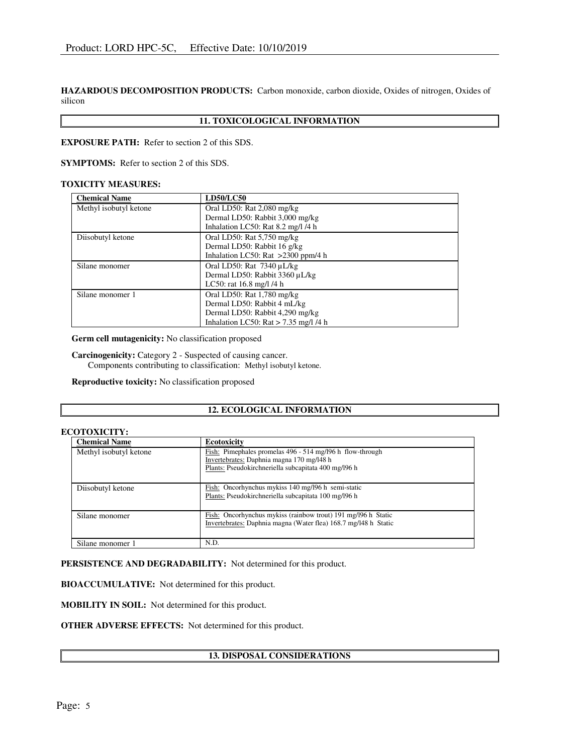HAZARDOUS DECOMPOSITION PRODUCTS: Carbon monoxide, carbon dioxide, Oxides of nitrogen, Oxides of silicon

# 11. TOXICOLOGICAL INFORMATION

EXPOSURE PATH: Refer to section 2 of this SDS.

SYMPTOMS: Refer to section 2 of this SDS.

#### TOXICITY MEASURES:

| <b>Chemical Name</b>   | <b>LD50/LC50</b>                        |  |  |
|------------------------|-----------------------------------------|--|--|
| Methyl isobutyl ketone | Oral LD50: Rat 2,080 mg/kg              |  |  |
|                        | Dermal LD50: Rabbit 3,000 mg/kg         |  |  |
|                        | Inhalation LC50: Rat 8.2 mg/l /4 h      |  |  |
| Diisobutyl ketone      | Oral LD50: Rat $5,750$ mg/kg            |  |  |
|                        | Dermal LD50: Rabbit 16 g/kg             |  |  |
|                        | Inhalation LC50: Rat $>2300$ ppm/4 h    |  |  |
| Silane monomer         | Oral LD50: Rat $7340 \mu L/kg$          |  |  |
|                        | Dermal LD50: Rabbit 3360 µL/kg          |  |  |
|                        | LC50: rat $16.8$ mg/l $/4$ h            |  |  |
| Silane monomer 1       | Oral LD50: Rat 1,780 mg/kg              |  |  |
|                        | Dermal LD50: Rabbit 4 mL/kg             |  |  |
|                        | Dermal LD50: Rabbit 4,290 mg/kg         |  |  |
|                        | Inhalation LC50: Rat $> 7.35$ mg/l /4 h |  |  |

Germ cell mutagenicity: No classification proposed

Carcinogenicity: Category 2 - Suspected of causing cancer. Components contributing to classification: Methyl isobutyl ketone.

Reproductive toxicity: No classification proposed

### 12. ECOLOGICAL INFORMATION

#### ECOTOXICITY:

| <b>Chemical Name</b>   | <b>Ecotoxicity</b>                                              |  |  |
|------------------------|-----------------------------------------------------------------|--|--|
| Methyl isobutyl ketone | Fish: Pimephales promelas 496 - 514 mg/l96 h flow-through       |  |  |
|                        | Invertebrates: Daphnia magna 170 mg/l48 h                       |  |  |
|                        | Plants: Pseudokirchneriella subcapitata 400 mg/196 h            |  |  |
|                        |                                                                 |  |  |
| Diisobutyl ketone      | Fish: Oncorhynchus mykiss 140 mg/l96 h semi-static              |  |  |
|                        | Plants: Pseudokirchneriella subcapitata 100 mg/196 h            |  |  |
|                        |                                                                 |  |  |
| Silane monomer         | Fish: Oncorhynchus mykiss (rainbow trout) 191 mg/196 h Static   |  |  |
|                        | Invertebrates: Daphnia magna (Water flea) 168.7 mg/148 h Static |  |  |
|                        |                                                                 |  |  |
| Silane monomer 1       | N.D.                                                            |  |  |

PERSISTENCE AND DEGRADABILITY: Not determined for this product.

BIOACCUMULATIVE: Not determined for this product.

MOBILITY IN SOIL: Not determined for this product.

OTHER ADVERSE EFFECTS: Not determined for this product.

### 13. DISPOSAL CONSIDERATIONS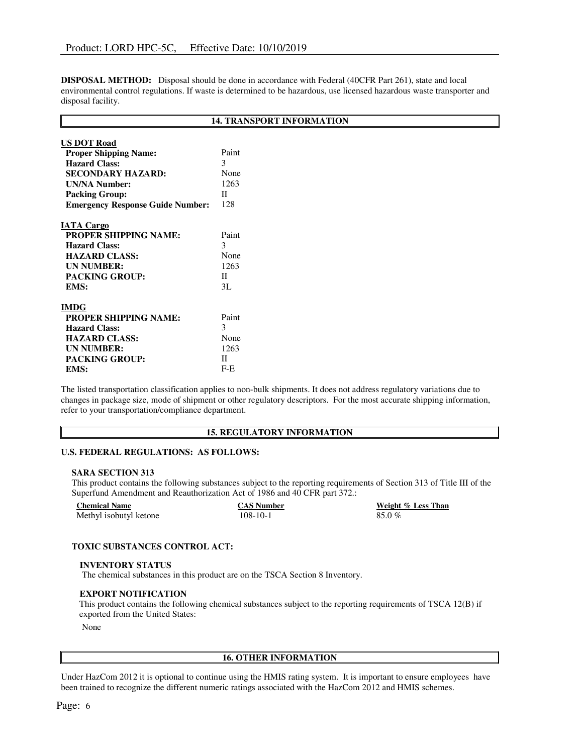DISPOSAL METHOD: Disposal should be done in accordance with Federal (40CFR Part 261), state and local environmental control regulations. If waste is determined to be hazardous, use licensed hazardous waste transporter and disposal facility.

# 14. TRANSPORT INFORMATION

| <b>US DOT Road</b>                      |       |
|-----------------------------------------|-------|
| <b>Proper Shipping Name:</b>            | Paint |
| <b>Hazard Class:</b>                    | 3     |
| SECONDARY HAZARD:                       | None  |
| <b>UN/NA Number:</b>                    | 1263  |
| <b>Packing Group:</b>                   | П     |
| <b>Emergency Response Guide Number:</b> | 128   |
|                                         |       |
| <b>IATA Cargo</b>                       |       |
| <b>PROPER SHIPPING NAME:</b>            | Paint |
| <b>Hazard Class:</b>                    | 3     |
| <b>HAZARD CLASS:</b>                    | None  |
| <b>UN NUMBER:</b>                       | 1263  |
| <b>PACKING GROUP:</b>                   | H     |
| EMS:                                    | 3L    |
|                                         |       |
| <b>IMDG</b>                             |       |
| <b>PROPER SHIPPING NAME:</b>            | Paint |
| <b>Hazard Class:</b>                    | 3     |
| <b>HAZARD CLASS:</b>                    | None  |
| <b>UN NUMBER:</b>                       | 1263  |
| <b>PACKING GROUP:</b>                   | П     |
| EMS:                                    | $F-E$ |

The listed transportation classification applies to non-bulk shipments. It does not address regulatory variations due to changes in package size, mode of shipment or other regulatory descriptors. For the most accurate shipping information, refer to your transportation/compliance department.

### 15. REGULATORY INFORMATION

### U.S. FEDERAL REGULATIONS: AS FOLLOWS:

#### SARA SECTION 313

This product contains the following substances subject to the reporting requirements of Section 313 of Title III of the Superfund Amendment and Reauthorization Act of 1986 and 40 CFR part 372.:

| <b>Chemical Name</b>   | <b>CAS Number</b> | Weight % Less Than |
|------------------------|-------------------|--------------------|
| Methyl isobutyl ketone | $108 - 10 - 1$    | 85.0%              |

#### TOXIC SUBSTANCES CONTROL ACT:

#### INVENTORY STATUS

The chemical substances in this product are on the TSCA Section 8 Inventory.

#### EXPORT NOTIFICATION

This product contains the following chemical substances subject to the reporting requirements of TSCA 12(B) if exported from the United States:

None

## 16. OTHER INFORMATION

Under HazCom 2012 it is optional to continue using the HMIS rating system. It is important to ensure employees have been trained to recognize the different numeric ratings associated with the HazCom 2012 and HMIS schemes.